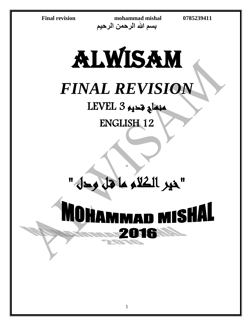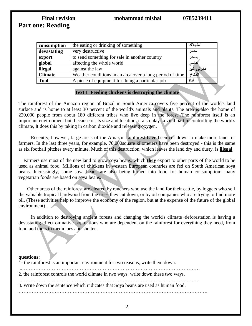# Final revision mohammad mishal 0785239411 **Part one: Reading**

| consumption    | the eating or drinking of something                      | استهلاك    |
|----------------|----------------------------------------------------------|------------|
| devastating    | very destructive                                         | مدمر       |
| export         | to send something for sale in another country            | نصدا       |
| global         | affecting the whole world                                | محالمی     |
| illegal        | against the law                                          | قانونی غیر |
| <b>Climate</b> | Weather conditions in an area over a long period of time | المناخ     |
| <b>Tool</b>    | A piece of equipment for doing a particular job          | أداة       |
|                |                                                          |            |

#### **Text 1 Feeding chickens is destroying the climate**

The rainforest of the Amazon region of Brazil in South America covers five percent of the world's land surface and is home to at least 30 percent of the world's animals and plants. The area is also the home of 220,000 people from about 180 different tribes who live deep in the forest .The rainforest itself is an important environment but, because of its size and location, it also plays a vital part in controlling the world's climate, It does this by taking in carbon dioxide and releasing oxygen.

 Recently, however, large areas of the Amazon rainforest have been cut down to make more land for farmers. In the last three years, for example, 70,000square kilometers have been destroyed - this is the same as six football pitches every minute. Much of this destruction, which leaves the land dry and dusty, is **illegal**.

 Farmers use most of the new land to grow soya beans, which **they** export to other parts of the world to be used as animal food. Millions of chickens in western European countries are fed on South American soya beans. Increasingly, some soya beans are also being turned into food for human consumption; many vegetarian foods are based on soya beans.

 Other areas of the rainforest are cleared by ranchers who use the land for their cattle, by loggers who sell the valuable tropical hardwood from the trees they cut down, or by oil companies who are trying to find more oil. )These activities help to improve the economy of the region, but at the expense of the future of the global environment).  $\blacktriangleright$ 

In addition to destroying ancient forests and changing the world's climate (deforestation is having a devastating effect on native populations who are dependent on the rainforest for everything they need, from food and tools to medicines and shelter .

#### **questions:**

1- the rainforest is an important environment for two reasons, write them down.

..………………………………………………………………………………………………

2. the rainforest controls the world climate in two ways, write down these two ways.

 ..……………………………………………………………………………………………… 3. Write down the sentence which indicates that Soya beans are used as human food.

……………………………………………………………………………………………………..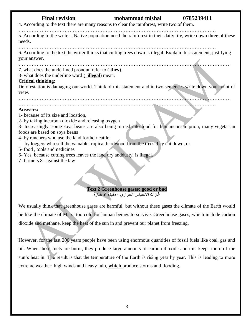# Final revision mohammad mishal 0785239411 4. According to the text there are many reasons to clear the rainforest, write two of them. ………………………………………………………………………………………………………… 5. According to the writer , Native population need the rainforest in their daily life, write down three of these needs. 6. According to the text the writer thinks that cutting trees down is illegal. Explain this statement, justifying your answer. ………………………………………………………………………………………………………………… 7. what does the underlined pronoun refer to ( **they**). 8- what does the underline word **( illegal**) mean. **Critical thinking:** Deforestation is damaging our world. Think of this statement and in two sentences write down your point of view. ………………………………………………………………………………………………………………… ………………………………………………………………………………………………………… **Answers:** 1- because of its size and location, 2- by taking incarbon dioxide and releasing oxygen 3- Increasingly, some soya beans are also being turned into food for humanconsumption; many vegetarian foods are based on soya beans 4- by ranchers who use the land fortheir cattle, by loggers who sell the valuable tropical hardwood from the trees they cut down, or 5- food , tools andmedicines 6- Yes, because cutting trees leaves the land dry anddusty, is illegal. 7- farmers 8- against the law

#### **Text 2 Greenhouse gases: good or bad غازات االنحباس الحراري : مفيدة ام ضارة**

We usually think that greenhouse gases are harmful, but without these gases the climate of the Earth would be like the climate of Mars: too cold for human beings to survive. Greenhouse gases, which include carbon dioxide and methane, keep the heat of the sun in and prevent our planet from freezing.

However, for the last 200 years people have been using enormous quantities of fossil fuels like coal, gas and oil. When these fuels are burnt, they produce large amounts of carbon dioxide and this keeps more of the sun's heat in. The result is that the temperature of the Earth is rising year by year. This is leading to more extreme weather: high winds and heavy rain, **which** produce storms and flooding.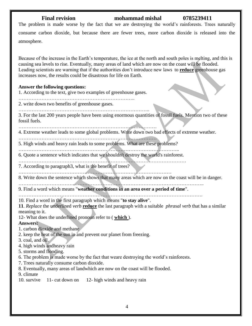The problem is made worse by the fact that we are destroying the world's rainforests. Trees naturally consume carbon dioxide, but because there are fewer trees, more carbon dioxide is released into the atmosphere.

Because of the increase in the Earth's temperature, the ice at the north and south poles is melting, and this is causing sea levels to rise. Eventually, many areas of land which are now on the coast will be flooded. Leading scientists are warning that if the authorities don't introduce new laws to **reduce** greenhouse gas increases now, the results could be disastrous for life on Earth.

#### **Answer the following questions:**

1. According to the text, give two examples of greenhouse gases.

……………………………………………………………..

2. write down two benefits of greenhouse gases. ……………………………………………………………………..

3. For the last 200 years people have been using enormous quantities of fossil fuels. Mention two of these fossil fuels.

…………………………………………………………………………

4. Extreme weather leads to some global problems. Write down two bad effects of extreme weather.

…………………………………………………………………………

5. High winds and heavy rain leads to some problems. What are these problems?

…………………………………………………………………………………….. 6. Quote a sentence which indicates that we shouldn't destroy the world's rainforest.

…………………………………………………………………………………………

7. According to paragraph3, what is the benefit of trees?

…………………………………………………………………………………

8. Write down the sentence which shows that many areas which are now on the coast will be in danger.

………………………………………………………………………………………………….. 9. Find a word which means "**weather conditions in an area over a period of time**".

………………………………………………………………………………………………….

10. Find a word in the first paragraph which means "**to stay alive**".

**11**. *Replace* the underlined *verb* **reduce** the last paragraph with a suitable *phrasal verb* that has a similar meaning to it.

12- What does the underlined pronoun refer to ( **which** ).

**Answers:**

1. carbon dioxide and methane

2. keep the heat of the sun in and prevent our planet from freezing.

3. coal, and oil.

4. high winds andheavy rain

5. storms and flooding.

6. The problem is made worse by the fact that weare destroying the world's rainforests.

7. Trees naturally consume carbon dioxide.

8. Eventually, many areas of landwhich are now on the coast will be flooded.

9. climate

10. survive 11- cut down on 12- high winds and heavy rain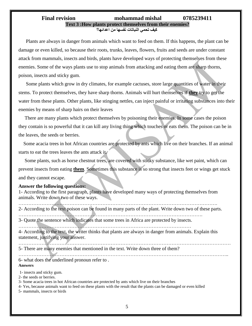### Final revision mohammad mishal 0785239411 **Text 3 :How plants protect themselves from their enemies? كيف تحمي النباتات نفسها من اعدائها؟**

 Plants are always in danger from animals which want to feed on them. If this happens, the plant can be damage or even killed, so because their roots, trunks, leaves, flowers, fruits and seeds are under constant attack from mammals, insects and birds, plants have developed ways of protecting themselves from these enemies. Some of the ways plants use to stop animals from attacking and eating them are sharp thorns, poison, insects and sticky gum.

 Some plants which grow in dry climates, for example cactuses, store large quantities of water in their stems. To protect themselves, they have sharp thorns. Animals will hurt themselves if **they** try to get the water from these plants. Other plants, like stinging nettles, can inject painful or irritating substances into their enemies by means of sharp hairs on their leaves

 There are many plants which protect themselves by poisoning their enemies. In some cases the poison they contain is so powerful that it can kill any living thing which touches or eats them. The poison can be in the leaves, the seeds or berries.

 Some acacia trees in hot African countries are protected by ants which live on their branches. If an animal starts to eat the trees leaves the ants attack it.

 Some plants, such as horse chestnut trees, are covered with sticky substance, like wet paint, which can prevent insects from eating **them**. Sometimes this substance is so strong that insects feet or wings get stuck and they cannot escape.

#### **Answer the following questions:**

1- According to the first paragraph, plants have developed many ways of protecting themselves from animals. Write down two of these ways.

…………………………………………………………………………………………………………. 2- According to the text poison can be found in many parts of the plant. Write down two of these parts. ………………………………………………………………………………………………….

3- Quote the sentence which indicates that some trees in Africa are protected by insects.

…………………………………………………………………………………………… 4- According to the text, the writer thinks that plants are always in danger from animals. Explain this statement, justifying your answer.

………………………………………………………………………………………………………………… 5- There are many enemies that mentioned in the text. Write down three of them?

………………………………………………………………………………………………………………..

6- what does the underlined pronoun refer to . **Answers**

1- insects and sticky gum.

2- the seeds or berries.

3- Some acacia trees in hot African countries are protected by ants which live on their branches

4- Yes, because animals want to feed on these plants with the result that the plants can be damaged or even killed

5- mammals, insects or birds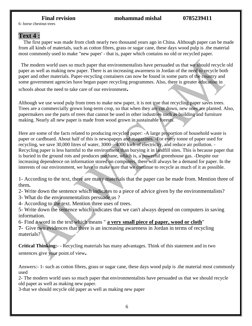6- horse chestnut trees

# **Text 4 :**

 The first paper was made from cloth nearly two thousand years ago in China. Although paper can be made from all kinds of materials, such as cotton fibres, grass or sugar cane, these days wood pulp is .the material most commonly used to make "new paper' - that is, paper which contains no old or recycled paper.

 The modern world uses so much paper that environmentalists have persuaded us that we should recycle old paper as well as making new paper. There is an increasing awareness in Jordan of the need to recycle both paper and other materials. Paper-recycling containers can now be found in some parts of the country and some government agencies have begun paper recycling programmes. Also, there is greater education in schools about the need to take care of our environment**.**

Although we use wood pulp from trees to make new paper, it is not true that recycling paper saves trees. Trees are a commercially grown long-term crop, so that when they are cut down, new ones are planted. Also, papermakers use the parts of trees that cannot be used in other industries such as building and furniture making. Nearly all new paper is made from wood grown in sustainable forests.

Here are some of the facts related to producing recycled paper: -A large proportion of household waste is paper or cardboard. About half of this is newspapers and magazines. -For every tonne of paper used for recycling, we save 30,000 litres of water, 3000—4000 kwh of electricity, and reduce air pollution. - Recycling paper is less harmful to the environment than burying it in landfill sites. This is because paper that is buried in the ground rots and produces methane, which is, a powerful greenhouse gas. -Despite our increasing dependence on information stored on computers, there will always be a demand for paper. In the interests of our environment, we have to make sure that we continue to recycle as much of it as possible.

1- According to the text, there are many materials that the paper can be made from. Mention three of them**.**

2- Write down the sentence which indicates to a piece of advice given by the environmentalists?

3- What do the environmentalists persuade us ?

4- According to the text. Mention three uses of trees.

5- Write down the sentence which indicates that we can't always depend on computers in saving information.

6- Find a word in the text which means " **a very small piece of paper, wood or cloth**"

**7-** Give two evidences that there is an increasing awareness in Jordan in terms of recycling materials?

**Critical Thinking:-** - Recycling materials has many advantages. Think of this statement and in two sentences give your point.of view**.**

Answers:- 1- such as cotton fibres, grass or sugar cane, these days wood pulp is .the material most commonly used

2- The modern world uses so much paper that environmentalists have persuaded us that we should recycle old paper as well as making new paper.

3-that we should recycle old paper as well as making new paper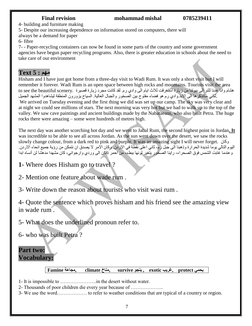4- building and furniture making

5- Despite our increasing dependence on information stored on computers, there will

always be a demand for paper

6- fibre

7- - Paper-recycling containers can now be found in some parts of the country and some government agencies have begun paper recycling programs. Also, there is greater education in schools about the need to take care of our environment

# **مهم : 5 Text**

Hisham and I have just got home from a three-day visit to Wadi Rum. It was only a short visit but I will remember it forever. Wadi Rum is an open space between high rocks and mountains. Tourists visit the area هشام وانا عدنا للتو الى بيوتنا من زيارة استغرقت ثلاث ايام الى وادي رم. لقد كانت مجرد زيارة قصيرة .to see the beautiful scenery .لكني ساتذكرھا الى االبد.وادي رم ھو فضاء مفتوح بين الصخور والجبال العالية. السياح يزورون المنطقة ليشاھدوا المشهد الجميل

We arrived on Tuesday evening and the first thing we did was set up our camp. The sky was very clear and at night we could see millions of stars. The next morning was very hot but we had to walk up to the top of the valley. We saw cave paintings and ancient buildings made by the Nabataeans, who also built Petra. The huge rocks there were amazing – some were hundreds of metres high.

The next day was another scorching hot day and we went to Jabal Rum, the second highest point in Jordan**. It** was incredible to be able to see all across Jordan. As the sun went down over the desert, we saw the rocks slowly change colour, from a dark red to pink and purple. It was an amazing sight I will never forget. وكان اليوم التالي يوما شديدة الحرارة وذهبنا الى جبل رم، ثاني اعلى نقطة في الاردن. وكان الامر لا يصدق ان نتمكن من رؤية جميع انحاء الاردن. وعندما غابت الشمس فوق الصحراء, راينا الصخور يتغير لونها ببطء, من احمر داكن الى وردي وارجواني, كان مشهدا مدھشا لن أنساه ابدا

**1-** Where does Hisham go to travel ?

2- Mention one feature about wade rum .

3- Write down the reason about tourists who visit wasi rum .

4- Quote the sentence which proves hisham and his friend see the amazing view in wade rum .

5- What does the underlined pronoun refer to.

6- who was built Petra ?

# **Part two: Vocabulary:**

## **يحمي protect ,غريب exotic , ينجو survive ,مناخ climate ,مجاعة Famine**

1- It is impossible to ………………….in the desert without water.

2- Thousands of poor children die every year because of ………………..

3- We use the word……………… to refer to weather conditions that are typical of a country or region.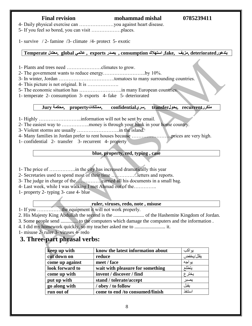4- Daily physical exercise can …………………you against heart disease.

5- If you feel so bored, you can visit ………………places.

1- survive / 2- famine /3- climate /4- protect 5- exotic

# **يتدهورdeteriorated ,مزيف ,fake, استهالك consumption , يصدر exports , عالمي global ,معتدل Temperate**

1- Plants and trees need …………………climates to grow.

2- The government wants to reduce energy……………………..by 10%.

3- In winter, Jordan …………………………….tomatoes to many surrounding countries.

4- This picture is not original. It is ……………….

5- The economic situation has ……………………..in many European countries.

1- temperate 2- consumption 3- exports 4- fake 5- deteriorated

## **متكررrecurrent ,يحولtransfer ,سريconfidential ,ممتلكاتproperty ,محكمة Jury**

1- Highly ……………………..information will not be sent by email.

2- The easiest way to ……………..money is through your bank in your home country.

3- Violent storms are usually ……………………..in the island.

4- Many families in Jordan prefer to rent houses because ……………………prices are very high.

1- confidential 2- transfer 3- recurrent 4- property

## **blue, property, red, typing , case**

- 1- The price of …………….in the city has increased dramatically this year
- 2- Secretaries used to spend most of their time …………….letters and reports.
- 3- The judge in charge of the…………….carried all his documents in a small bag.
- 4- Last week, while I was walking I met Ahmad out of the…………..

1- property 2- typing 3- case 4- blue

#### **ruler, viruses, redo, note , misuse**

1- If you ……………the equipment it will not work properly.

2. His Majesty King Abdullah the second is the ......................... of the Hashemite Kingdom of Jordan.

3. Some people send .............. to the computers which damage the computers and the information .

4. I did my homework quickly, so my teacher asked me to ......................... it.

1- misuse 2- ruler 3- viruses 4- redo

# **3. Three-part phrasal verbs:**

| keep up with    | know the latest information about | يو اکب    |
|-----------------|-----------------------------------|-----------|
| cut down on     | reduce                            | يقلل/يخفض |
| come up against | meet / face                       | يواجه     |
| look forward to | wait with pleasure for something  | يتطلع     |
| come up with    | invent / discover / find          | يخترع     |
| put up with     | stand / tolerate/accept           | يصبر      |
| go along with   | / obey / to follow                | يقبل      |
| run out of      | come to end /to consumed/finish   | استنفذ    |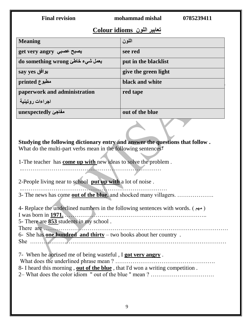| <b>Final revision</b>                                                                                                                                                                                                                                                                                                                                                                           | mohammad mishal<br>0785239411 |  |  |  |
|-------------------------------------------------------------------------------------------------------------------------------------------------------------------------------------------------------------------------------------------------------------------------------------------------------------------------------------------------------------------------------------------------|-------------------------------|--|--|--|
| <u>تعابير اللون Colour idioms</u>                                                                                                                                                                                                                                                                                                                                                               |                               |  |  |  |
| <b>Meaning</b>                                                                                                                                                                                                                                                                                                                                                                                  | اللون                         |  |  |  |
| get very angry يصبح عصبي                                                                                                                                                                                                                                                                                                                                                                        | see red                       |  |  |  |
| do something wrong يعمل شيء خاطئ                                                                                                                                                                                                                                                                                                                                                                | put in the blacklist          |  |  |  |
| يوافق say yes                                                                                                                                                                                                                                                                                                                                                                                   | give the green light          |  |  |  |
| printed جطبوع                                                                                                                                                                                                                                                                                                                                                                                   | black and white               |  |  |  |
| paperwork and administration                                                                                                                                                                                                                                                                                                                                                                    | red tape                      |  |  |  |
| اجراءات روتينية                                                                                                                                                                                                                                                                                                                                                                                 |                               |  |  |  |
| unexpectedly مفاجئ                                                                                                                                                                                                                                                                                                                                                                              | out of the blue               |  |  |  |
| What do the multi-part verbs mean in the following sentences?<br>1-The teacher has <b>come up with</b> new ideas to solve the problem.<br>2-People living near to school put up with a lot of noise.<br>3- The news has come <b>out of the blue</b> , and shocked many villagers.                                                                                                               |                               |  |  |  |
| 4- Replace the underlined numbers in the following sentences with words. (مهم)<br>I was born in $\overline{1971}$ .<br>5- There are <b>853</b> students in my school.<br>6- She has <b>one hundred and thirty</b> – two books about her country.<br>7- When he accused me of being wasteful, I got very angry.<br>8- I heard this morning, out of the blue, that I'd won a writing competition. |                               |  |  |  |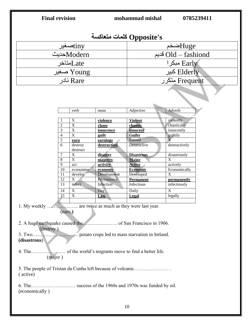| <b>Final revision</b>                                                  |                              | mohammad mishal         | 0785239411              |                             |  |
|------------------------------------------------------------------------|------------------------------|-------------------------|-------------------------|-----------------------------|--|
| Opposite's كلمات متعاكسة                                               |                              |                         |                         |                             |  |
|                                                                        | tinyضغیر                     |                         |                         | Hugeضخم                     |  |
|                                                                        | Modernکدیٹ                   |                         |                         | Old – fashiond قديم         |  |
|                                                                        |                              |                         |                         |                             |  |
|                                                                        | Lateمتاخر                    |                         |                         | Early مبكرا                 |  |
|                                                                        | Young صغير                   |                         | Elderly کبیر            |                             |  |
|                                                                        | نادر Rare                    |                         |                         | Frequent متكرر              |  |
|                                                                        |                              |                         |                         |                             |  |
|                                                                        | verb                         | noun                    | Adjective               | Adverb                      |  |
|                                                                        | X                            | violence                | <b>Violent</b>          | violently                   |  |
| $\overline{2}$                                                         | $\overline{X}$               | chaos                   | chaotic                 | chaotically                 |  |
| 3                                                                      | $\overline{X}$               | innocence               | innocent                | innocently                  |  |
| 4                                                                      | $\overline{X}$               | guilt                   | <b>Guilty</b>           | guiltily<br>$\overline{X}$  |  |
| 5<br>6                                                                 | earn<br>destroy              | earnings<br>destruction | Earned<br>Destructive   | destructively               |  |
|                                                                        | destruct                     |                         |                         |                             |  |
| 7                                                                      | $\overline{X}$               | disaster                | <b>Disastrous</b>       | disastrously                |  |
| 8                                                                      | $\overline{X}$               | majority                | Major                   | $\overline{X}$              |  |
| 9                                                                      | act                          | activity                | <b>Active</b>           | actively                    |  |
| 10                                                                     | economise                    | economy                 | <b>Economic</b>         | Economically                |  |
| 11                                                                     | develop<br>$\overline{X}$    | Development             | Developed               | $\overline{X}$              |  |
| 12<br>13                                                               | infect                       | Permanence<br>Infection | Permanent<br>Infectious | permanently<br>infectiously |  |
|                                                                        |                              |                         |                         |                             |  |
| 14<br>15                                                               | X<br>$\overline{\mathbf{X}}$ | Day.<br>$\mathbf{Law}$  | Daily<br>Legal          | X<br>legally                |  |
|                                                                        |                              |                         |                         |                             |  |
| (earn,)<br>(destroy)<br>(disastrous)                                   |                              |                         |                         |                             |  |
| (major)                                                                |                              |                         |                         |                             |  |
| 5. The people of Tristan da Cunha left because of volcanic<br>(active) |                              |                         |                         |                             |  |
| (economically)                                                         |                              |                         |                         |                             |  |
|                                                                        |                              |                         | 10                      |                             |  |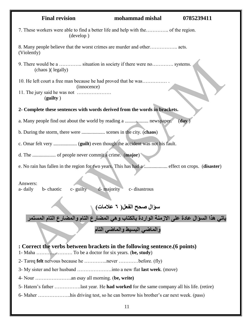| <b>Final revision</b>                                                                                                   | mohammad mishal              | 0785239411 |  |  |  |
|-------------------------------------------------------------------------------------------------------------------------|------------------------------|------------|--|--|--|
| 7. These workers were able to find a better life and help with the of the region.<br>(develop)                          |                              |            |  |  |  |
| (Violently)                                                                                                             |                              |            |  |  |  |
| 9. There would be a  situation in society if there were no systems.<br>(chaos) (legally)                                |                              |            |  |  |  |
| 10. He left court a free man because he had proved that he was<br>(innocence)                                           |                              |            |  |  |  |
| (gulity)                                                                                                                |                              |            |  |  |  |
| 2- Complete these sentences with words derived from the words in brackets.                                              |                              |            |  |  |  |
|                                                                                                                         |                              | (day)      |  |  |  |
| b. During the storm, there were  scenes in the city. (chaos)                                                            |                              |            |  |  |  |
|                                                                                                                         |                              |            |  |  |  |
|                                                                                                                         |                              |            |  |  |  |
| e. No rain has fallen in the region for two years. This has had a  effect on crops. (disaster)                          |                              |            |  |  |  |
|                                                                                                                         |                              |            |  |  |  |
| Answers:                                                                                                                |                              |            |  |  |  |
| b-chaotic<br>$c$ - guilty<br>a- daily                                                                                   | d- majority<br>c- disastrous |            |  |  |  |
|                                                                                                                         |                              |            |  |  |  |
| سؤال صحح الفعل( ٦ علامات)<br>ياتي هذا السؤال عادة على الازمنة الواردة بالكتاب و هي المضارع التام والمضارع التام المستمر |                              |            |  |  |  |
|                                                                                                                         | والماضى البسيط والماضى التام |            |  |  |  |
| : Correct the verbs between brackets in the following sentence. (6 points)                                              |                              |            |  |  |  |
|                                                                                                                         |                              |            |  |  |  |
| 2- Tareq felt nervous because he never before. (fly)                                                                    |                              |            |  |  |  |
|                                                                                                                         |                              |            |  |  |  |
|                                                                                                                         |                              |            |  |  |  |
|                                                                                                                         |                              |            |  |  |  |
|                                                                                                                         |                              |            |  |  |  |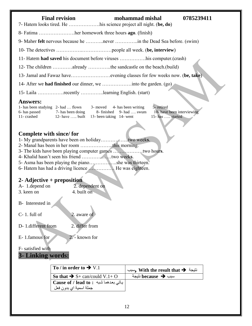- 7- Hatem looks tired. He ……………….his science project all night. (**be, do**)
- 8- Fatima ………………….her homework three hours **ago**. (finish)
- 9- Maher **felt** nervous because he ………..never …………..in the Dead Sea before. (swim)
- 10- The detectives …………….………………people all week. (**be, interview**)
- 11- Hatem **had saved** his document before viruses …………….his computer.(crash)
- 12- The children …………already …………..the sandcastle on the beach.(build)
- 13- Jamal and Fawaz have……………………evening classes for few weeks now. (**be, take**)
- 14- After we **had finished** our dinner, we ………………into the garden. (go)
- 15- Laila …………….recently …………..learning English. (start)

### **Answers:**

| 1- has been studying $2$ - had  flown |                                                 | $3-$ moved $4-$ has been writing | 5- retired                 |
|---------------------------------------|-------------------------------------------------|----------------------------------|----------------------------|
| 6- has passed                         | 7- has been doing                               | 8- finished 9- had  swum         | 10- have been interviewing |
| 11- crashed                           | 12- have $\dots$ built 13- been taking 14- went |                                  | 15- has $\dots$ started    |

# **Complete with since/ for**

- 1- My grandparents have been on holiday……………..two week**s**.
- 2- Manal has been in her room ………………..this morning.
- 3- The kids have been playing computer games ………………two hour**s**.
- 4- Khalid hasn't seen his friend ………………two week**s**.
- 5- Asma has been playing the piano……………..she was thirteen.
- 6- Hatem has had a driving licence ……………. He was eighteen.

# **2- Adjective + preposition**

| A-1. depend on | 2. dependent on |
|----------------|-----------------|
| 3. keen on     | 4. built on     |

- B- Interested in
- C- 1. full of 2. aware of
- D- 1.different from 2. differ from
- E- 1.famous for 2. known for

F- satisfied with

# **3- Linking words:**

| To / in order to $\rightarrow$ V.1        | نتيجة Vith the result that $\rightarrow$ وسبب               |
|-------------------------------------------|-------------------------------------------------------------|
| So that $\rightarrow$ S+ can/could V.1+ O | سبب $\blacktriangleright$ because سبب $\blacktriangleright$ |
| Cause of / lead to : اباتی بعدهما شبه $ $ |                                                             |
| جملة اسمية اي بدون فعل                    |                                                             |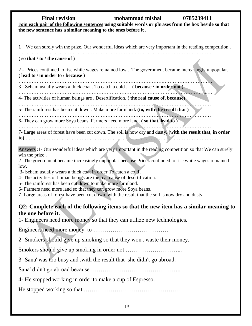# Final revision mohammad mishal 0785239411 **Join each pair of the following sentences using suitable words or phrases from the box beside so that the new sentence has a similar meaning to the ones before it .**

1 – We can surely win the prize. Our wonderful ideas which are very important in the reading competition .

……………………………………………………………..………………….…………………….

### **( so that / to / the cause of )**

2 - Prices continued to rise while wages remained low . The government became increasingly unpopular. **( lead to / in order to / because )**

…………………………………………………………………………….………………………… 3- Seham usually wears a thick coat . To catch a cold . **( because / in order not )**

……………………………..……………………………………………………………………...… 4- The activities of human beings are . Desertification. **( the real cause of, because)**

……………………………………………………………………………………………………… 5- The rainforest has been cut down . Make more farmland**. (to, with the result that )**

………………………………………………………………………………………………………

6- They can grow more Soya beans. Farmers need more land. **( so that, lead to )**

……………………………………………………………………………………………………… 7- Large areas of forest have been cut down. The soil is now dry and dusty. **(with the result that, in order to)** ………………………………………………………………………………………………………

Answers :1- Our wonderful ideas which are very important in the reading competition so that We can surely win the prize .

2- The government became increasingly unpopular because Prices continued to rise while wages remained low.

3- Seham usually wears a thick coat in order To catch a cold .

4- The activities of human beings are the real cause of desertification.

5- The rainforest has been cut down to make more farmland.

6- Farmers need more land so that they can grow more Soya beans.

7- Large areas of forest have been cut down, with the result that the soil is now dry and dusty

# **Q2: Complete each of the following items so that the new item has a similar meaning to the one before it.**

1- Engineers need more money so that they can utilize new technologies.

Engineers need more money to …………………………………

2- Smokers should give up smoking so that they won't waste their money.

Smokers should give up smoking in order not ………………………...

3- Sana' was too busy and ,with the result that she didn't go abroad.

Sana' didn't go abroad because ………………………………………...

4- He stopped working in order to make a cup of Espresso.

He stopped working so that ……………………………………………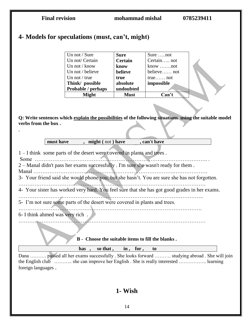| <b>Final revision</b>                                                                                                                                                                                                                                                                                                   |                                                                                                                                                 | mohammad mishal                                                                                  |                                                               | 0785239411                                                                                 |  |
|-------------------------------------------------------------------------------------------------------------------------------------------------------------------------------------------------------------------------------------------------------------------------------------------------------------------------|-------------------------------------------------------------------------------------------------------------------------------------------------|--------------------------------------------------------------------------------------------------|---------------------------------------------------------------|--------------------------------------------------------------------------------------------|--|
|                                                                                                                                                                                                                                                                                                                         | 4- Models for speculations (must, can't, might)                                                                                                 |                                                                                                  |                                                               |                                                                                            |  |
|                                                                                                                                                                                                                                                                                                                         | Un not / Sure<br>Un not/ Certain<br>Un not / know<br>Un not / believe<br>Un not / true<br>Think/ possible<br>Probable / perhaps<br><b>Might</b> | <b>Sure</b><br><b>Certain</b><br>know<br>believe<br>true<br>absolute<br>undoubted<br><b>Must</b> | Sure not<br>Certain not<br>believe not<br>impossible<br>Can't |                                                                                            |  |
| Q: Write sentences which explain the possibilities of the following situations using the suitable model<br>verbs from the box.                                                                                                                                                                                          |                                                                                                                                                 |                                                                                                  |                                                               |                                                                                            |  |
| must have<br>, might (not) have<br>, can't have<br>1 – I think some parts of the desert were covered in plants and trees.<br>2 - Manal didn't pass her exams successfully. I'm sure she wasn't ready for them.<br>Manal<br>3- Your friend said she would phone you, but she hasn't. You are sure she has not forgotten. |                                                                                                                                                 |                                                                                                  |                                                               |                                                                                            |  |
| 4- Your sister has worked very hard. You feel sure that she has got good grades in her exams.                                                                                                                                                                                                                           |                                                                                                                                                 |                                                                                                  |                                                               |                                                                                            |  |
| 5- I'm not sure some parts of the desert were covered in plants and trees.                                                                                                                                                                                                                                              |                                                                                                                                                 |                                                                                                  |                                                               |                                                                                            |  |
| 6- I think ahmed was very rich.                                                                                                                                                                                                                                                                                         | B - Choose the suitable items to fill the blanks.                                                                                               |                                                                                                  |                                                               |                                                                                            |  |
|                                                                                                                                                                                                                                                                                                                         | has, so that, in, for,                                                                                                                          |                                                                                                  | to                                                            |                                                                                            |  |
| foreign languages.                                                                                                                                                                                                                                                                                                      | the English club  she can improve her English. She is really interested  learning                                                               |                                                                                                  |                                                               | Dana  passed all her exams successfully. She looks forward  studying abroad. She will join |  |

# **1- Wish**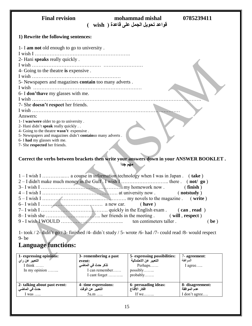| <b>Final revision</b>                                                            | mohammad mishal<br>قواعد تحويل الجمل على قاعدة ( wish | 0785239411 |
|----------------------------------------------------------------------------------|-------------------------------------------------------|------------|
| 1) Rewrite the following sentences:                                              |                                                       |            |
| 1- I am not old enough to go to university.<br>I wish I.                         |                                                       |            |
| 2- Hani speaks really quickly.                                                   |                                                       |            |
| I wish.                                                                          |                                                       |            |
| 4- Going to the theatre is expensive.                                            |                                                       |            |
| I wish.                                                                          |                                                       |            |
| 5- Newspapers and magazines contain too many adverts.                            |                                                       |            |
|                                                                                  |                                                       |            |
| 6- I don't have my glasses with me.                                              |                                                       |            |
| I wish.                                                                          |                                                       |            |
| 7- She doesn't respect her friends.                                              |                                                       |            |
|                                                                                  |                                                       |            |
|                                                                                  |                                                       |            |
| Answers:                                                                         |                                                       |            |
| 1- I was/were older to go to university.                                         |                                                       |            |
| 2- Hani didn't speak really quickly<br>4- Going to the theatre wasn't expensive. |                                                       |            |
| 5- Newspapers and magazines didn't containso many adverts.                       |                                                       |            |
| 6- I had my glasses with me.                                                     |                                                       |            |
| 7- She respected her friends.                                                    |                                                       |            |

## **Correct the verbs between brackets then write your answers down in your ANSWER BOOKLET . مهم جدا**

| (be) |
|------|

1- took / 2- didn`t go / 3- finished /4- didn`t study / 5- wrote /6- had /7- could read /8- would respect 9- be

# **Language functions:**

| 1- expressing opinions:<br>التعبير عن راي<br>I think $\ldots$ .<br>In my opinion $\dots$ | 3- remembering a past<br>event:<br>تذكر حدث ف <i>ي</i> الماض <i>ى</i><br>I can remember<br>I cant forget | 5- expressing possibilities:<br>التعبير عن الاحتمالية<br>Perhaps<br>$possibly$<br>$probability$ | 7-agreement:<br>المم افقة<br>l agree |
|------------------------------------------------------------------------------------------|----------------------------------------------------------------------------------------------------------|-------------------------------------------------------------------------------------------------|--------------------------------------|
| 2- talking about past event:                                                             | 4- time expressions:                                                                                     | 6- persuading ideas:                                                                            | 8- disagreement:                     |
| حدث في الماضي                                                                            | التعبير عن الوقت                                                                                         | افكار الاقناع                                                                                   | عدم الموافقة                         |
| I was $\dots$                                                                            | $5a.m$                                                                                                   | If we                                                                                           | I don't agree                        |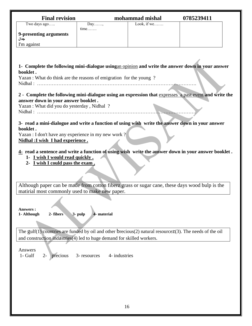| <b>Final revision</b>                                                                                                                            |      | mohammad mishal     | 0785239411 |  |
|--------------------------------------------------------------------------------------------------------------------------------------------------|------|---------------------|------------|--|
| Two days ago                                                                                                                                     | Day, | Look, if we $\dots$ |            |  |
| 9-presenting arguments                                                                                                                           | time |                     |            |  |
| جدال                                                                                                                                             |      |                     |            |  |
| I'm against                                                                                                                                      |      |                     |            |  |
|                                                                                                                                                  |      |                     |            |  |
|                                                                                                                                                  |      |                     |            |  |
| 1- Complete the following mini-dialogue using an opinion and write the answer down in your answer                                                |      |                     |            |  |
| booklet.<br>Yazan : What do think are the reasons of emigration for the young?                                                                   |      |                     |            |  |
| Nidhal:                                                                                                                                          |      |                     |            |  |
|                                                                                                                                                  |      |                     |            |  |
| 2 - Complete the following mini-dialogue using an expression that expresses a past event and write the                                           |      |                     |            |  |
| answer down in your answer booklet.<br>Yazan : What did you do yesterday, Nidhal?                                                                |      |                     |            |  |
|                                                                                                                                                  |      |                     |            |  |
|                                                                                                                                                  |      |                     |            |  |
| 3- read a mini-dialogue and write a function of using wish write the answer down in your answer                                                  |      |                     |            |  |
| booklet.<br>Yazan : I don't have any experience in my new work?                                                                                  |      |                     |            |  |
| Nidhal : I wish I had experience.                                                                                                                |      |                     |            |  |
|                                                                                                                                                  |      |                     |            |  |
| 4- read a sentence and write a function of using wish write the answer down in your answer booklet.                                              |      |                     |            |  |
| 1- I wish I would read quickly.<br>2- I wish I could pass the exam.                                                                              |      |                     |            |  |
|                                                                                                                                                  |      |                     |            |  |
|                                                                                                                                                  |      |                     |            |  |
|                                                                                                                                                  |      |                     |            |  |
| Although paper can be made from cotton fiberz grass or sugar cane, these days wood bulp is the<br>matirial most commonly used to make new paper. |      |                     |            |  |
|                                                                                                                                                  |      |                     |            |  |
|                                                                                                                                                  |      |                     |            |  |
| <b>Answers:</b>                                                                                                                                  |      |                     |            |  |
| 2- fibers<br>3- pulp<br>1- Although<br>4- material                                                                                               |      |                     |            |  |
|                                                                                                                                                  |      |                     |            |  |
| The gulf $(1)$ countries are funded by oil and other brecious $(2)$ natural resource $z(3)$ . The needs of the oil                               |      |                     |            |  |
| and construction indastries(4) led to huge demand for skilled workers.                                                                           |      |                     |            |  |
|                                                                                                                                                  |      |                     |            |  |
| Answers<br>1- Gulf                                                                                                                               |      |                     |            |  |
| $2-$<br>3- resources<br>4- industries<br>precious                                                                                                |      |                     |            |  |
|                                                                                                                                                  |      |                     |            |  |
|                                                                                                                                                  |      |                     |            |  |
|                                                                                                                                                  |      |                     |            |  |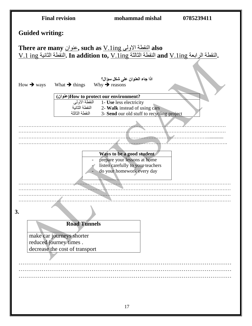